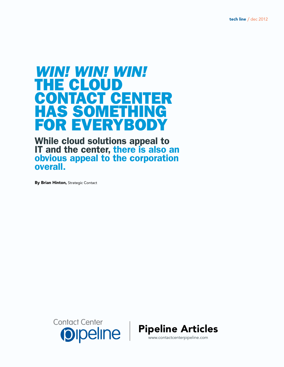# *Win! Win! Win!*  THE CLOUD CONTACT CENTER<br>HAS SOMETHING Has Something for Everybody

While cloud solutions appeal to IT and the center, there is also an obvious appeal to the corporation overall.

By Brian Hinton, Strategic Contact



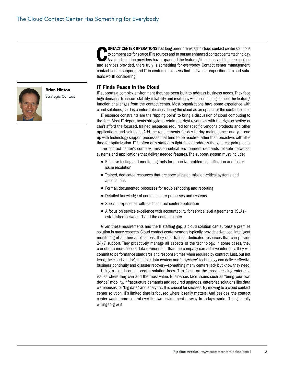

Brian Hinton Strategic Contact

**CONTACT CENTER OPERATIONS** has long been interested in cloud contact center solutions<br>to compensate for scarce IT resources and to pursue enhanced contact center technology.<br>As cloud solution providers have expanded the f to compensate for scarce IT resources and to pursue enhanced contact center technology. As cloud solution providers have expanded the features/functions, architecture choices and services provided, there truly is something for everybody. Contact center management, contact center support, and IT in centers of all sizes find the value proposition of cloud solutions worth considering.

#### IT Finds Peace in the Cloud

IT supports a complex environment that has been built to address business needs. They face high demands to ensure stability, reliability and resiliency while continuing to meet the feature/ function challenges from the contact center. Most organizations have some experience with cloud solutions, so IT is comfortable considering the cloud as an option for the contact center.

IT resource constraints are the "tipping point" to bring a discussion of cloud computing to the fore. Most IT departments struggle to retain the right resources with the right expertise or can't afford the focused, trained resources required for specific vendor's products and other applications and solutions. Add the requirements for day-to-day maintenance and you end up with technology support processes that tend to be reactive rather than proactive, with little time for optimization. IT is often only staffed to fight fires or address the greatest pain points.

The contact center's complex, mission-critical environment demands reliable networks, systems and applications that deliver needed features. The support system must include:

- Effective testing and monitoring tools for proactive problem identification and faster issue resolution
- Trained, dedicated resources that are specialists on mission-critical systems and applications
- Formal, documented processes for troubleshooting and reporting
- Detailed knowledge of contact center processes and systems
- Specific experience with each contact center application
- A focus on service excellence with accountability for service level agreements (SLAs) established between IT and the contact center

Given these requirements and the IT staffing gap, a cloud solution can surpass a premise solution in many respects. Cloud contact center vendors typically provide advanced, intelligent monitoring of all their applications. They offer trained, dedicated resources that can provide 24/7 support. They proactively manage all aspects of the technology. In some cases, they can offer a more secure data environment than the company can achieve internally. They will commit to performance standards and response times when required by contract. Last, but not least, the cloud vendor's multiple data centers and "anywhere" technology can deliver effective business continuity and disaster recovery—something many centers lack but know they need.

Using a cloud contact center solution frees IT to focus on the most pressing enterprise issues where they can add the most value. Businesses face issues such as "bring your own device," mobility, infrastructure demands and required upgrades, enterprise solutions like data warehouses for "big data," and analytics. IT is crucial for success. By moving to a cloud contact center solution, IT's limited time is focused where it really matters. And besides, the contact center wants more control over its own environment anyway. In today's world, IT is generally willing to give it.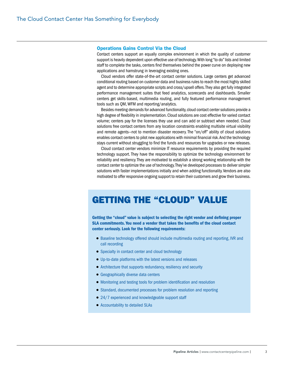#### Operations Gains Control Via the Cloud

Contact centers support an equally complex environment in which the quality of customer support is heavily dependent upon effective use of technology. With long "to do" lists and limited staff to complete the tasks, centers find themselves behind the power curve on deploying new applications and hamstrung in leveraging existing ones.

Cloud vendors offer state-of-the-art contact center solutions. Large centers get advanced conditional routing based on customer data and business rules to reach the most highly skilled agent and to determine appropriate scripts and cross/upsell offers. They also get fully integrated performance management suites that feed analytics, scorecards and dashboards. Smaller centers get skills-based, multimedia routing, and fully featured performance management tools such as QM, WFM and reporting/analytics.

Besides meeting demands for advanced functionality, cloud contact center solutions provide a high degree of flexibility in implementation. Cloud solutions are cost effective for varied contact volume; centers pay for the licenses they use and can add or subtract when needed. Cloud solutions free contact centers from any location constraints enabling multisite virtual visibility and remote agents—not to mention disaster recovery. The "on/off" ability of cloud solutions enables contact centers to pilot new applications with minimal financial risk. And the technology stays current without struggling to find the funds and resources for upgrades or new releases.

Cloud contact center vendors minimize IT resource requirements by providing the required technology support. They have the responsibility to optimize the technology environment for reliability and resiliency. They are motivated to establish a strong working relationship with the contact center to optimize the use of technology. They've developed processes to deliver simpler solutions with faster implementations initially and when adding functionality. Vendors are also motivated to offer responsive ongoing support to retain their customers and grow their business.

### Getting the "Cloud" Value

Getting the "cloud" value is subject to selecting the right vendor and defining proper SLA commitments. You need a vendor that takes the benefits of the cloud contact center seriously. Look for the following requirements:

- Baseline technology offered should include multimedia routing and reporting, IVR and call recording
- Specialty in contact center and cloud technology
- Up-to-date platforms with the latest versions and releases
- Architecture that supports redundancy, resiliency and security
- Geographically diverse data centers
- Monitoring and testing tools for problem identification and resolution
- Standard, documented processes for problem resolution and reporting
- 24/7 experienced and knowledgeable support staff
- Accountability to detailed SLAs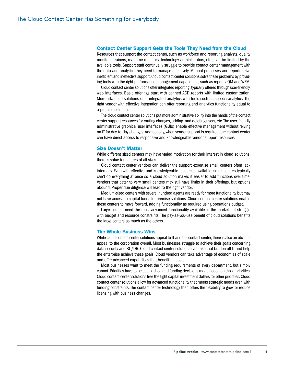#### Contact Center Support Gets the Tools They Need from the Cloud

Resources that support the contact center, such as workforce and reporting analysts, quality monitors, trainers, real-time monitors, technology administrators, etc., can be limited by the available tools. Support staff continually struggle to provide contact center management with the data and analytics they need to manage effectively. Manual processes and reports drive inefficient and ineffective support. Cloud contact center solutions solve these problems by providing tools with the right performance management capabilities, such as reports, QM and WFM.

Cloud contact center solutions offer integrated reporting, typically offered through user-friendly, web interfaces. Basic offerings start with canned ACD reports with limited customization. More advanced solutions offer integrated analytics with tools such as speech analytics. The right vendor with effective integration can offer reporting and analytics functionality equal to a premise solution.

The cloud contact center solutions put more administrative ability into the hands of the contact center support resources for routing changes, adding, and deleting users, etc. The user-friendly administrative graphical user interfaces (GUIs) enable effective management without relying on IT for day-to-day changes. Additionally, when vendor support is required, the contact center can have direct access to responsive and knowledgeable vendor support resources.

#### Size Doesn't Matter

While different sized centers may have varied motivation for their interest in cloud solutions, there is value for centers of all sizes.

Cloud contact center vendors can deliver the support expertise small centers often lack internally. Even with effective and knowledgeable resources available, small centers typically can't do everything at once so a cloud solution makes it easier to add functions over time. Vendors that cater to very small centers may still have limits in their offerings, but options abound. Proper due diligence will lead to the right vendor.

Medium-sized centers with several hundred agents are ready for more functionality but may not have access to capital funds for premise solutions. Cloud contact center solutions enable these centers to move forward, adding functionality as required using operations budget.

Large centers need the most advanced functionality available in the market but struggle with budget and resource constraints. The pay-as-you-use benefit of cloud solutions benefits the large centers as much as the others.

#### The Whole Business Wins

While cloud contact center solutions appeal to IT and the contact center, there is also an obvious appeal to the corporation overall. Most businesses struggle to achieve their goals concerning data security and BC/DR. Cloud contact center solutions can take that burden off IT and help the enterprise achieve these goals. Cloud vendors can take advantage of economies of scale and offer advanced capabilities that benefit all users.

Most businesses want to meet the funding requirements of every department, but simply cannot. Priorities have to be established and funding decisions made based on those priorities. Cloud contact center solutions free the tight capital investment dollars for other priorities. Cloud contact center solutions allow for advanced functionality that meets strategic needs even with funding constraints. The contact center technology then offers the flexibility to grow or reduce licensing with business changes.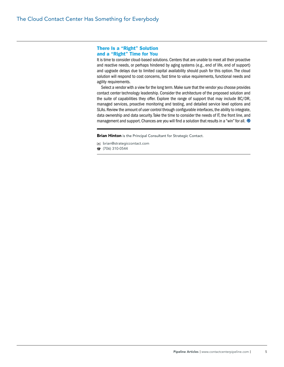#### There Is a "Right" Solution and a "Right" Time for You

It is time to consider cloud-based solutions. Centers that are unable to meet all their proactive and reactive needs, or perhaps hindered by aging systems (e.g., end of life, end of support) and upgrade delays due to limited capital availability should push for this option. The cloud solution will respond to cost concerns, fast time to value requirements, functional needs and agility requirements.

Select a vendor with a view for the long term. Make sure that the vendor you choose provides contact center technology leadership. Consider the architecture of the proposed solution and the suite of capabilities they offer. Explore the range of support that may include BC/DR, managed services, proactive monitoring and testing, and detailed service level options and SLAs. Review the amount of user control through configurable interfaces, the ability to integrate, data ownership and data security. Take the time to consider the needs of IT, the front line, and management and support. Chances are you will find a solution that results in a "win" for all.  $\bullet$ 

**Brian Hinton** is the Principal Consultant for Strategic Contact.

- brian@strategiccontact.com
- $\hat{B}$  (706) 310-0544